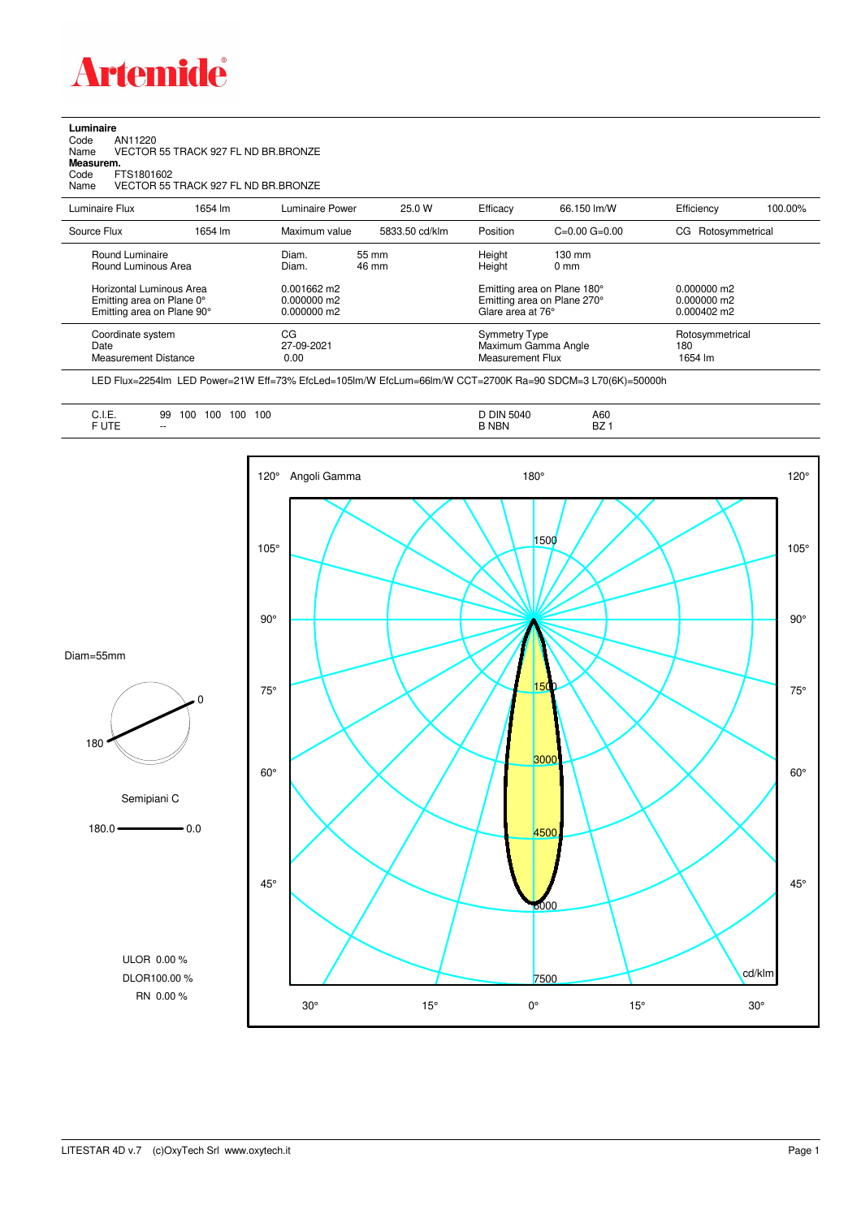

**Luminaire**<br>Code /<br>Name \ Code AN11220 Name VECTOR 55 TRACK 927 FL ND BR.BRONZE **Measurem.** Code FTS1801602

Name VECTOR 55 TRACK 927 FL ND BR.BRONZE

| Luminaire Flux                                                                      | 1654 lm | Luminaire Power                                 | 25.0 W         | Efficacy                          | 66.150 lm/W                                                | Efficiency                                      | 100.00% |
|-------------------------------------------------------------------------------------|---------|-------------------------------------------------|----------------|-----------------------------------|------------------------------------------------------------|-------------------------------------------------|---------|
| Source Flux                                                                         | 1654 lm | Maximum value                                   | 5833.50 cd/klm | Position                          | $C=0.00$ $G=0.00$                                          | CG Rotosymmetrical                              |         |
| Round Luminaire<br>Round Luminous Area                                              |         | Diam.<br>Diam.                                  | 55 mm<br>46 mm | Height<br>Height                  | $130 \text{ mm}$<br>$0 \text{ mm}$                         |                                                 |         |
| Horizontal Luminous Area<br>Emitting area on Plane 0°<br>Emitting area on Plane 90° |         | $0.001662$ m2<br>$0.000000$ m2<br>$0.000000$ m2 |                | Glare area at 76°                 | Emitting area on Plane 180°<br>Emitting area on Plane 270° | $0.000000$ m2<br>$0.000000$ m2<br>$0.000402$ m2 |         |
| Coordinate system<br>Date<br><b>Measurement Distance</b>                            |         | CG<br>27-09-2021<br>0.00                        |                | Symmetry Type<br>Measurement Flux | Maximum Gamma Angle                                        | Rotosymmetrical<br>180<br>1654 lm               |         |

LED Flux=2254lm LED Power=21W Eff=73% EfcLed=105lm/W EfcLum=66lm/W CCT=2700K Ra=90 SDCM=3 L70(6K)=50000h